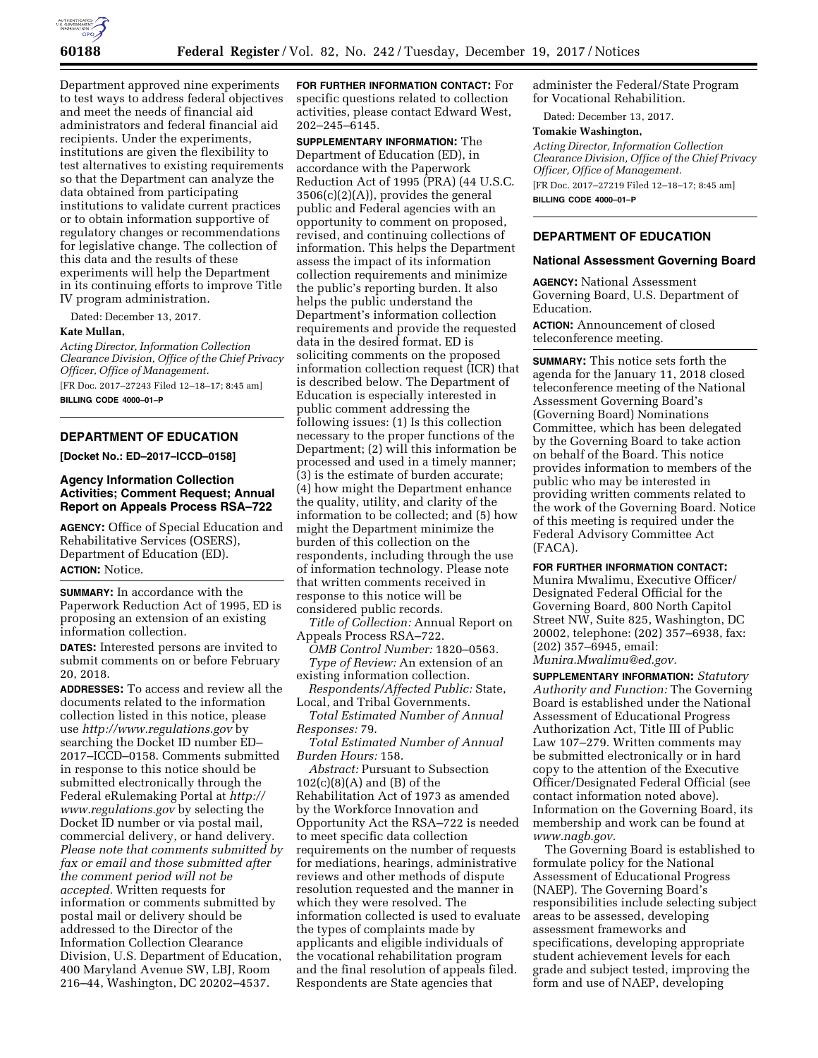

Department approved nine experiments to test ways to address federal objectives and meet the needs of financial aid administrators and federal financial aid recipients. Under the experiments, institutions are given the flexibility to test alternatives to existing requirements so that the Department can analyze the data obtained from participating institutions to validate current practices or to obtain information supportive of regulatory changes or recommendations for legislative change. The collection of this data and the results of these experiments will help the Department in its continuing efforts to improve Title IV program administration.

Dated: December 13, 2017.

### **Kate Mullan,**

*Acting Director, Information Collection Clearance Division, Office of the Chief Privacy Officer, Office of Management.* 

[FR Doc. 2017–27243 Filed 12–18–17; 8:45 am] **BILLING CODE 4000–01–P** 

### **DEPARTMENT OF EDUCATION**

**[Docket No.: ED–2017–ICCD–0158]** 

## **Agency Information Collection Activities; Comment Request; Annual Report on Appeals Process RSA–722**

**AGENCY:** Office of Special Education and Rehabilitative Services (OSERS), Department of Education (ED).

# **ACTION:** Notice.

**SUMMARY:** In accordance with the Paperwork Reduction Act of 1995, ED is proposing an extension of an existing information collection.

**DATES:** Interested persons are invited to submit comments on or before February 20, 2018.

**ADDRESSES:** To access and review all the documents related to the information collection listed in this notice, please use *<http://www.regulations.gov>*by searching the Docket ID number ED– 2017–ICCD–0158. Comments submitted in response to this notice should be submitted electronically through the Federal eRulemaking Portal at *[http://](http://www.regulations.gov) [www.regulations.gov](http://www.regulations.gov)* by selecting the Docket ID number or via postal mail, commercial delivery, or hand delivery. *Please note that comments submitted by fax or email and those submitted after the comment period will not be accepted.* Written requests for information or comments submitted by postal mail or delivery should be addressed to the Director of the Information Collection Clearance Division, U.S. Department of Education, 400 Maryland Avenue SW, LBJ, Room 216–44, Washington, DC 20202–4537.

**FOR FURTHER INFORMATION CONTACT:** For specific questions related to collection activities, please contact Edward West, 202–245–6145.

**SUPPLEMENTARY INFORMATION:** The Department of Education (ED), in accordance with the Paperwork Reduction Act of 1995 (PRA) (44 U.S.C. 3506(c)(2)(A)), provides the general public and Federal agencies with an opportunity to comment on proposed, revised, and continuing collections of information. This helps the Department assess the impact of its information collection requirements and minimize the public's reporting burden. It also helps the public understand the Department's information collection requirements and provide the requested data in the desired format. ED is soliciting comments on the proposed information collection request (ICR) that is described below. The Department of Education is especially interested in public comment addressing the following issues: (1) Is this collection necessary to the proper functions of the Department; (2) will this information be processed and used in a timely manner; (3) is the estimate of burden accurate; (4) how might the Department enhance the quality, utility, and clarity of the information to be collected; and (5) how might the Department minimize the burden of this collection on the respondents, including through the use of information technology. Please note that written comments received in response to this notice will be considered public records.

*Title of Collection:* Annual Report on Appeals Process RSA–722.

*OMB Control Number:* 1820–0563. *Type of Review:* An extension of an existing information collection.

*Respondents/Affected Public:* State, Local, and Tribal Governments.

*Total Estimated Number of Annual Responses:* 79.

*Total Estimated Number of Annual Burden Hours:* 158.

*Abstract:* Pursuant to Subsection  $102(c)(8)(A)$  and  $(B)$  of the Rehabilitation Act of 1973 as amended by the Workforce Innovation and Opportunity Act the RSA–722 is needed to meet specific data collection requirements on the number of requests for mediations, hearings, administrative reviews and other methods of dispute resolution requested and the manner in which they were resolved. The information collected is used to evaluate the types of complaints made by applicants and eligible individuals of the vocational rehabilitation program and the final resolution of appeals filed. Respondents are State agencies that

administer the Federal/State Program for Vocational Rehabilition.

Dated: December 13, 2017.

### **Tomakie Washington,**

*Acting Director, Information Collection Clearance Division, Office of the Chief Privacy Officer, Office of Management.*  [FR Doc. 2017–27219 Filed 12–18–17; 8:45 am]

**BILLING CODE 4000–01–P** 

## **DEPARTMENT OF EDUCATION**

### **National Assessment Governing Board**

**AGENCY:** National Assessment Governing Board, U.S. Department of Education.

**ACTION:** Announcement of closed teleconference meeting.

**SUMMARY:** This notice sets forth the agenda for the January 11, 2018 closed teleconference meeting of the National Assessment Governing Board's (Governing Board) Nominations Committee, which has been delegated by the Governing Board to take action on behalf of the Board. This notice provides information to members of the public who may be interested in providing written comments related to the work of the Governing Board. Notice of this meeting is required under the Federal Advisory Committee Act (FACA).

**FOR FURTHER INFORMATION CONTACT:**  Munira Mwalimu, Executive Officer/ Designated Federal Official for the Governing Board, 800 North Capitol Street NW, Suite 825, Washington, DC 20002, telephone: (202) 357–6938, fax: (202) 357–6945, email: *[Munira.Mwalimu@ed.gov.](mailto:Munira.Mwalimu@ed.gov)* 

**SUPPLEMENTARY INFORMATION:** *Statutory Authority and Function:* The Governing Board is established under the National Assessment of Educational Progress Authorization Act, Title III of Public Law 107–279. Written comments may be submitted electronically or in hard copy to the attention of the Executive Officer/Designated Federal Official (see contact information noted above). Information on the Governing Board, its membership and work can be found at *[www.nagb.gov.](http://www.nagb.gov)* 

The Governing Board is established to formulate policy for the National Assessment of Educational Progress (NAEP). The Governing Board's responsibilities include selecting subject areas to be assessed, developing assessment frameworks and specifications, developing appropriate student achievement levels for each grade and subject tested, improving the form and use of NAEP, developing